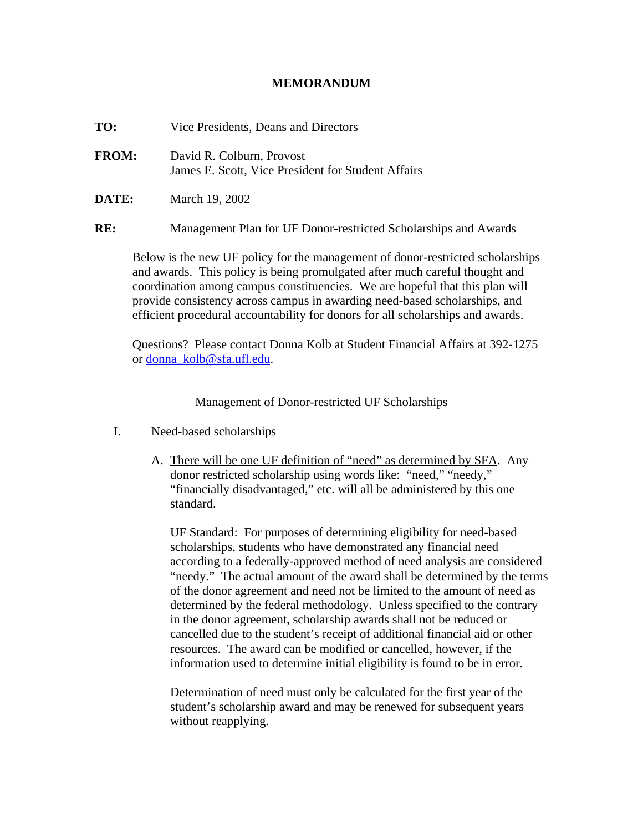## **MEMORANDUM**

| TO: | Vice Presidents, Deans and Directors |  |
|-----|--------------------------------------|--|
|     |                                      |  |

- **FROM:** David R. Colburn, Provost James E. Scott, Vice President for Student Affairs
- **DATE:** March 19, 2002

**RE:** Management Plan for UF Donor-restricted Scholarships and Awards

Below is the new UF policy for the management of donor-restricted scholarships and awards. This policy is being promulgated after much careful thought and coordination among campus constituencies. We are hopeful that this plan will provide consistency across campus in awarding need-based scholarships, and efficient procedural accountability for donors for all scholarships and awards.

Questions? Please contact Donna Kolb at Student Financial Affairs at 392-1275 or donna\_kolb@sfa.ufl.edu.

## Management of Donor-restricted UF Scholarships

- I. Need-based scholarships
	- A. There will be one UF definition of "need" as determined by SFA. Any donor restricted scholarship using words like: "need," "needy," "financially disadvantaged," etc. will all be administered by this one standard.

UF Standard: For purposes of determining eligibility for need-based scholarships, students who have demonstrated any financial need according to a federally-approved method of need analysis are considered "needy." The actual amount of the award shall be determined by the terms of the donor agreement and need not be limited to the amount of need as determined by the federal methodology. Unless specified to the contrary in the donor agreement, scholarship awards shall not be reduced or cancelled due to the student's receipt of additional financial aid or other resources. The award can be modified or cancelled, however, if the information used to determine initial eligibility is found to be in error.

Determination of need must only be calculated for the first year of the student's scholarship award and may be renewed for subsequent years without reapplying.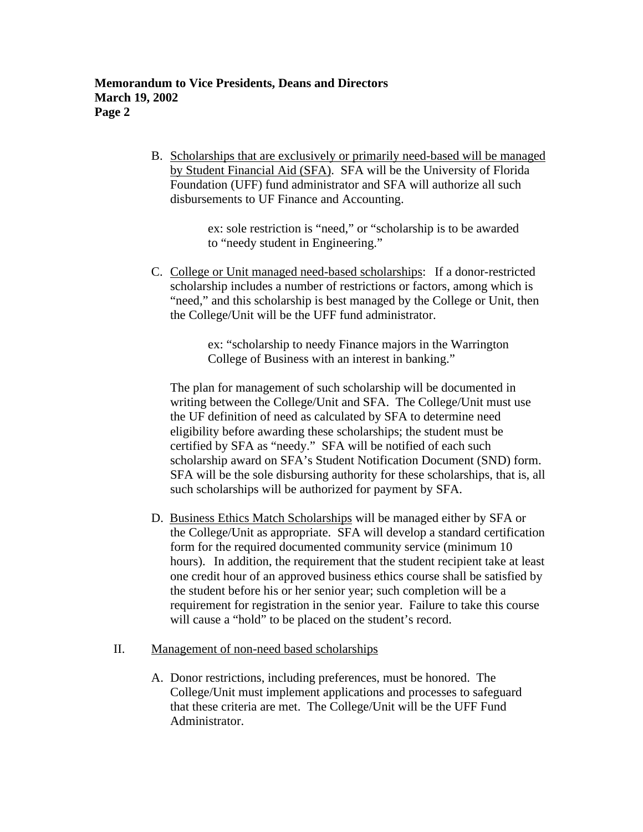B. Scholarships that are exclusively or primarily need-based will be managed by Student Financial Aid (SFA). SFA will be the University of Florida Foundation (UFF) fund administrator and SFA will authorize all such disbursements to UF Finance and Accounting.

> ex: sole restriction is "need," or "scholarship is to be awarded to "needy student in Engineering."

 C. College or Unit managed need-based scholarships: If a donor-restricted scholarship includes a number of restrictions or factors, among which is "need," and this scholarship is best managed by the College or Unit, then the College/Unit will be the UFF fund administrator.

> ex: "scholarship to needy Finance majors in the Warrington College of Business with an interest in banking."

The plan for management of such scholarship will be documented in writing between the College/Unit and SFA. The College/Unit must use the UF definition of need as calculated by SFA to determine need eligibility before awarding these scholarships; the student must be certified by SFA as "needy." SFA will be notified of each such scholarship award on SFA's Student Notification Document (SND) form. SFA will be the sole disbursing authority for these scholarships, that is, all such scholarships will be authorized for payment by SFA.

D. Business Ethics Match Scholarships will be managed either by SFA or the College/Unit as appropriate. SFA will develop a standard certification form for the required documented community service (minimum 10 hours). In addition, the requirement that the student recipient take at least one credit hour of an approved business ethics course shall be satisfied by the student before his or her senior year; such completion will be a requirement for registration in the senior year. Failure to take this course will cause a "hold" to be placed on the student's record.

## II. Management of non-need based scholarships

A. Donor restrictions, including preferences, must be honored. The College/Unit must implement applications and processes to safeguard that these criteria are met. The College/Unit will be the UFF Fund Administrator.